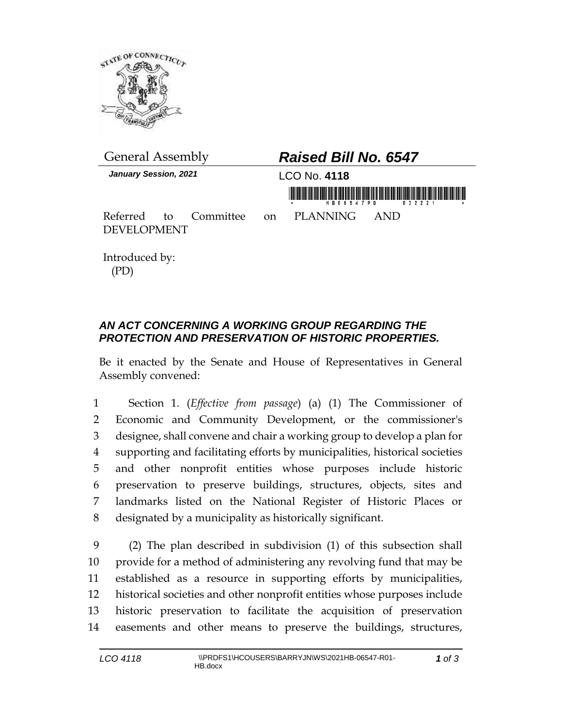

| <b>General Assembly</b>      |  |  | <b>Raised Bill No. 6547</b> |                                   |                  |  |
|------------------------------|--|--|-----------------------------|-----------------------------------|------------------|--|
| <b>January Session, 2021</b> |  |  | LCO No. 4118                |                                   |                  |  |
|                              |  |  |                             |                                   | HB06547PD 032221 |  |
|                              |  |  |                             | Referred to Committee on PLANNING | AND              |  |
| <b>DEVELOPMENT</b>           |  |  |                             |                                   |                  |  |

Introduced by: (PD)

## *AN ACT CONCERNING A WORKING GROUP REGARDING THE PROTECTION AND PRESERVATION OF HISTORIC PROPERTIES.*

Be it enacted by the Senate and House of Representatives in General Assembly convened:

 Section 1. (*Effective from passage*) (a) (1) The Commissioner of Economic and Community Development, or the commissioner's designee, shall convene and chair a working group to develop a plan for supporting and facilitating efforts by municipalities, historical societies and other nonprofit entities whose purposes include historic preservation to preserve buildings, structures, objects, sites and landmarks listed on the National Register of Historic Places or designated by a municipality as historically significant.

 (2) The plan described in subdivision (1) of this subsection shall provide for a method of administering any revolving fund that may be established as a resource in supporting efforts by municipalities, historical societies and other nonprofit entities whose purposes include historic preservation to facilitate the acquisition of preservation easements and other means to preserve the buildings, structures,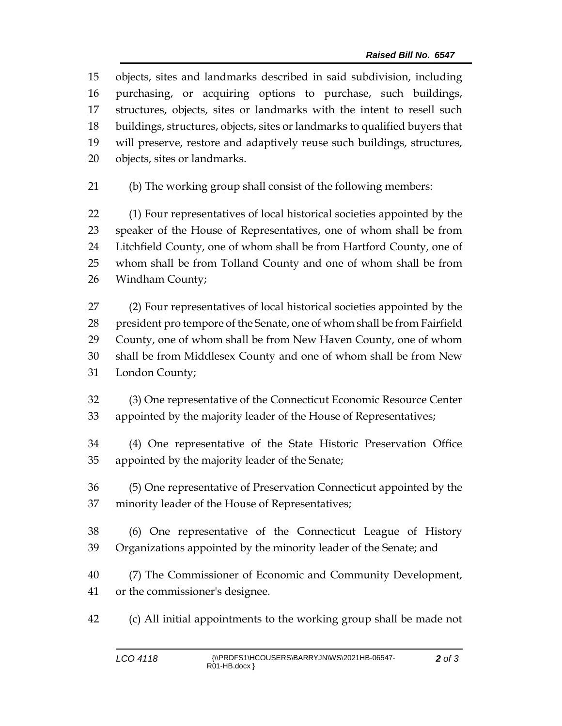objects, sites and landmarks described in said subdivision, including purchasing, or acquiring options to purchase, such buildings, structures, objects, sites or landmarks with the intent to resell such buildings, structures, objects, sites or landmarks to qualified buyers that will preserve, restore and adaptively reuse such buildings, structures, objects, sites or landmarks.

(b) The working group shall consist of the following members:

 (1) Four representatives of local historical societies appointed by the speaker of the House of Representatives, one of whom shall be from Litchfield County, one of whom shall be from Hartford County, one of whom shall be from Tolland County and one of whom shall be from Windham County;

 (2) Four representatives of local historical societies appointed by the president pro tempore of the Senate, one of whom shall be from Fairfield County, one of whom shall be from New Haven County, one of whom shall be from Middlesex County and one of whom shall be from New London County;

 (3) One representative of the Connecticut Economic Resource Center appointed by the majority leader of the House of Representatives;

 (4) One representative of the State Historic Preservation Office appointed by the majority leader of the Senate;

 (5) One representative of Preservation Connecticut appointed by the minority leader of the House of Representatives;

 (6) One representative of the Connecticut League of History Organizations appointed by the minority leader of the Senate; and

 (7) The Commissioner of Economic and Community Development, or the commissioner's designee.

(c) All initial appointments to the working group shall be made not